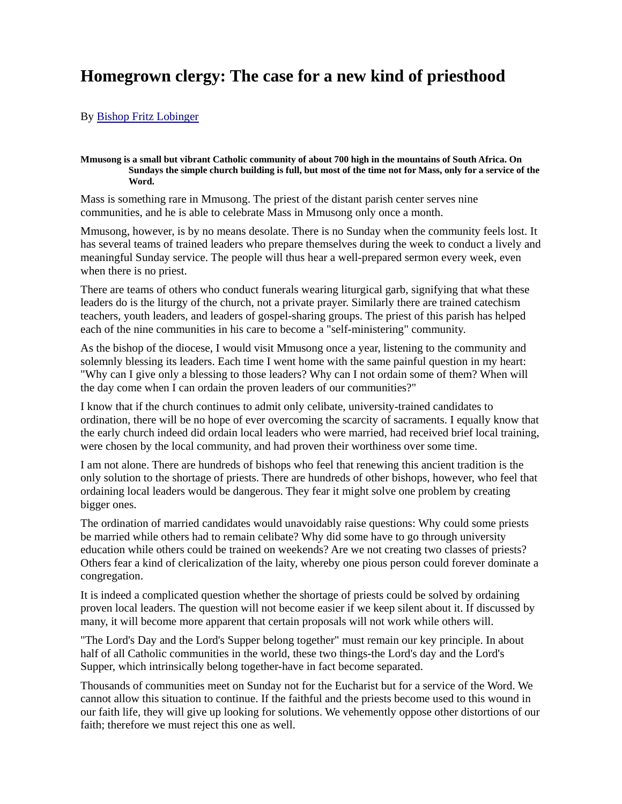## **Homegrown clergy: The case for a new kind of priesthood**

## By Bishop Fritz Lobinger

## **Mmusong is a small but vibrant Catholic community of about 700 high in the mountains of South Africa. On Sundays the simple church building is full, but most of the time not for Mass, only for a service of the Word.**

Mass is something rare in Mmusong. The priest of the distant parish center serves nine communities, and he is able to celebrate Mass in Mmusong only once a month.

Mmusong, however, is by no means desolate. There is no Sunday when the community feels lost. It has several teams of trained leaders who prepare themselves during the week to conduct a lively and meaningful Sunday service. The people will thus hear a well-prepared sermon every week, even when there is no priest.

There are teams of others who conduct funerals wearing liturgical garb, signifying that what these leaders do is the liturgy of the church, not a private prayer. Similarly there are trained catechism teachers, youth leaders, and leaders of gospel-sharing groups. The priest of this parish has helped each of the nine communities in his care to become a "self-ministering" community.

As the bishop of the diocese, I would visit Mmusong once a year, listening to the community and solemnly blessing its leaders. Each time I went home with the same painful question in my heart: "Why can I give only a blessing to those leaders? Why can I not ordain some of them? When will the day come when I can ordain the proven leaders of our communities?"

I know that if the church continues to admit only celibate, university-trained candidates to ordination, there will be no hope of ever overcoming the scarcity of sacraments. I equally know that the early church indeed did ordain local leaders who were married, had received brief local training, were chosen by the local community, and had proven their worthiness over some time.

I am not alone. There are hundreds of bishops who feel that renewing this ancient tradition is the only solution to the shortage of priests. There are hundreds of other bishops, however, who feel that ordaining local leaders would be dangerous. They fear it might solve one problem by creating bigger ones.

The ordination of married candidates would unavoidably raise questions: Why could some priests be married while others had to remain celibate? Why did some have to go through university education while others could be trained on weekends? Are we not creating two classes of priests? Others fear a kind of clericalization of the laity, whereby one pious person could forever dominate a congregation.

It is indeed a complicated question whether the shortage of priests could be solved by ordaining proven local leaders. The question will not become easier if we keep silent about it. If discussed by many, it will become more apparent that certain proposals will not work while others will.

"The Lord's Day and the Lord's Supper belong together" must remain our key principle. In about half of all Catholic communities in the world, these two things-the Lord's day and the Lord's Supper, which intrinsically belong together-have in fact become separated.

Thousands of communities meet on Sunday not for the Eucharist but for a service of the Word. We cannot allow this situation to continue. If the faithful and the priests become used to this wound in our faith life, they will give up looking for solutions. We vehemently oppose other distortions of our faith; therefore we must reject this one as well.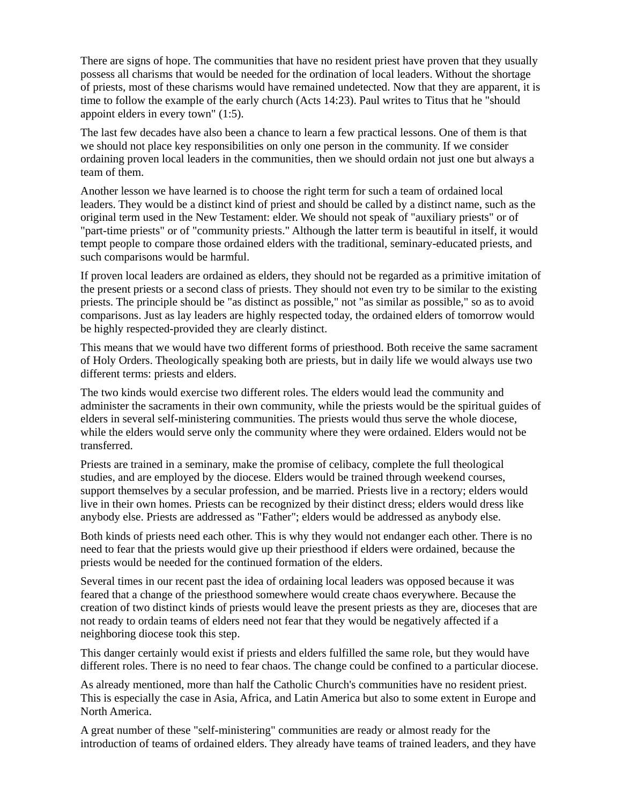There are signs of hope. The communities that have no resident priest have proven that they usually possess all charisms that would be needed for the ordination of local leaders. Without the shortage of priests, most of these charisms would have remained undetected. Now that they are apparent, it is time to follow the example of the early church (Acts 14:23). Paul writes to Titus that he "should appoint elders in every town" (1:5).

The last few decades have also been a chance to learn a few practical lessons. One of them is that we should not place key responsibilities on only one person in the community. If we consider ordaining proven local leaders in the communities, then we should ordain not just one but always a team of them.

Another lesson we have learned is to choose the right term for such a team of ordained local leaders. They would be a distinct kind of priest and should be called by a distinct name, such as the original term used in the New Testament: elder. We should not speak of "auxiliary priests" or of "part-time priests" or of "community priests." Although the latter term is beautiful in itself, it would tempt people to compare those ordained elders with the traditional, seminary-educated priests, and such comparisons would be harmful.

If proven local leaders are ordained as elders, they should not be regarded as a primitive imitation of the present priests or a second class of priests. They should not even try to be similar to the existing priests. The principle should be "as distinct as possible," not "as similar as possible," so as to avoid comparisons. Just as lay leaders are highly respected today, the ordained elders of tomorrow would be highly respected-provided they are clearly distinct.

This means that we would have two different forms of priesthood. Both receive the same sacrament of Holy Orders. Theologically speaking both are priests, but in daily life we would always use two different terms: priests and elders.

The two kinds would exercise two different roles. The elders would lead the community and administer the sacraments in their own community, while the priests would be the spiritual guides of elders in several self-ministering communities. The priests would thus serve the whole diocese, while the elders would serve only the community where they were ordained. Elders would not be transferred.

Priests are trained in a seminary, make the promise of celibacy, complete the full theological studies, and are employed by the diocese. Elders would be trained through weekend courses, support themselves by a secular profession, and be married. Priests live in a rectory; elders would live in their own homes. Priests can be recognized by their distinct dress; elders would dress like anybody else. Priests are addressed as "Father"; elders would be addressed as anybody else.

Both kinds of priests need each other. This is why they would not endanger each other. There is no need to fear that the priests would give up their priesthood if elders were ordained, because the priests would be needed for the continued formation of the elders.

Several times in our recent past the idea of ordaining local leaders was opposed because it was feared that a change of the priesthood somewhere would create chaos everywhere. Because the creation of two distinct kinds of priests would leave the present priests as they are, dioceses that are not ready to ordain teams of elders need not fear that they would be negatively affected if a neighboring diocese took this step.

This danger certainly would exist if priests and elders fulfilled the same role, but they would have different roles. There is no need to fear chaos. The change could be confined to a particular diocese.

As already mentioned, more than half the Catholic Church's communities have no resident priest. This is especially the case in Asia, Africa, and Latin America but also to some extent in Europe and North America.

A great number of these "self-ministering" communities are ready or almost ready for the introduction of teams of ordained elders. They already have teams of trained leaders, and they have